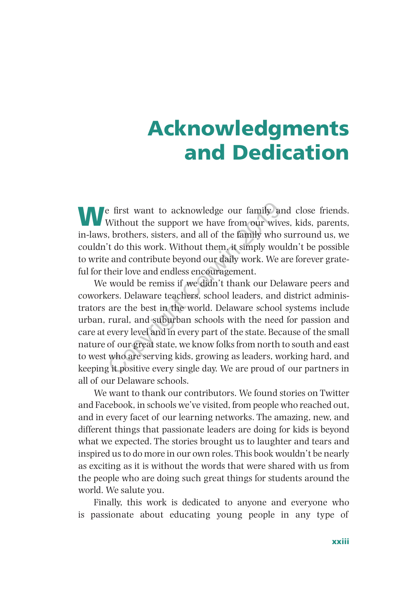## Acknowledgments and Dedication

We first want to acknowledge our family and close friends.<br>Without the support we have from our wives, kids, parents, in-laws, brothers, sisters, and all of the family who surround us, we couldn't do this work. Without them, it simply wouldn't be possible to write and contribute beyond our daily work. We are forever grateful for their love and endless encouragement.

We would be remiss if we didn't thank our Delaware peers and coworkers. Delaware teachers, school leaders, and district administrators are the best in the world. Delaware school systems include urban, rural, and suburban schools with the need for passion and care at every level and in every part of the state. Because of the small nature of our great state, we know folks from north to south and east to west who are serving kids, growing as leaders, working hard, and keeping it positive every single day. We are proud of our partners in all of our Delaware schools. e first want to acknowledge our family an<br>Without the support we have from our wive<br>, brothers, sisters, and all of the family who is<br>'t do this work. Without them, it simply woul<br>e' and contribute beyond our daily work. W

We want to thank our contributors. We found stories on Twitter and Facebook, in schools we've visited, from people who reached out, and in every facet of our learning networks. The amazing, new, and different things that passionate leaders are doing for kids is beyond what we expected. The stories brought us to laughter and tears and inspired us to do more in our own roles. This book wouldn't be nearly as exciting as it is without the words that were shared with us from the people who are doing such great things for students around the world. We salute you.

Finally, this work is dedicated to anyone and everyone who is passionate about educating young people in any type of